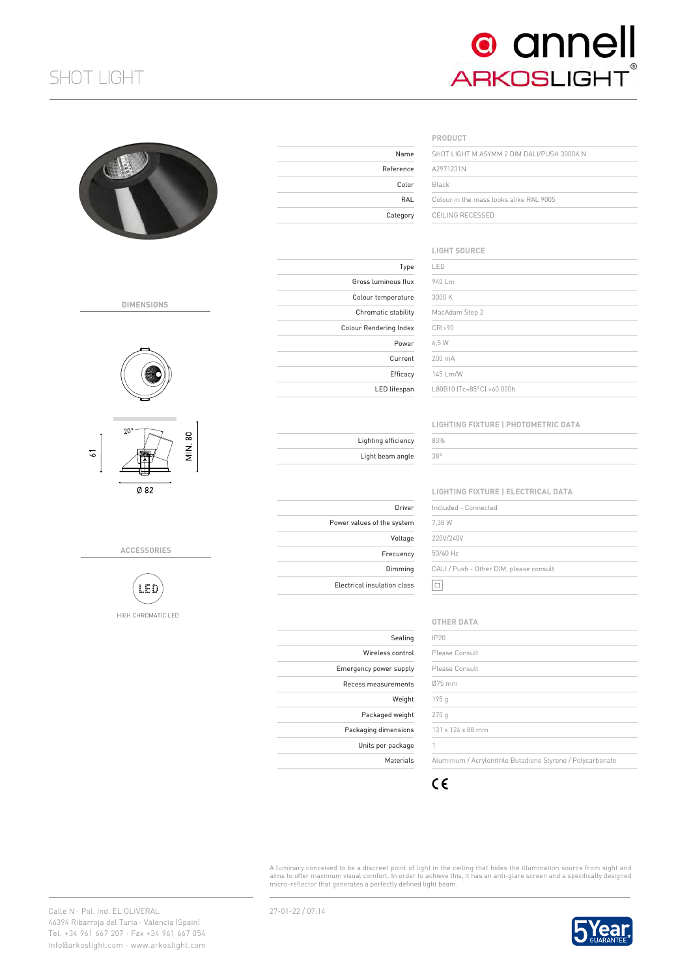# SHOT LIGHT



Reference Color

Category

Type

Power Current Efficacy LED lifespan

Gross luminous flux Colour temperature Chromatic stability Colour Rendering Index

> Lighting efficiency Light beam angle

Power values of the system

Electrical insulation class

Driver

Voltage Frecuency Dimming

Sealing Wireless control Emergency power supply Recess measurements

Weight Packaged weight Packaging dimensions Units per package Materials

| Name   | SHOT LIGHT M ASYMM 2 DIM DALI/PUSH 3000K N |
|--------|--------------------------------------------|
| erence | A2971231N                                  |
| Color  | Black                                      |
| RAI    | Colour in the mass looks alike RAI 9005    |
| tegory | CEILING RECESSED                           |

## **LIGHT SOURCE**

| LED                       |  |  |
|---------------------------|--|--|
| 940 Lm                    |  |  |
| 3000 K                    |  |  |
| MacAdam Step 2            |  |  |
| CRI>90                    |  |  |
| 6.5 W                     |  |  |
| 200 mA                    |  |  |
| 145 Lm/W                  |  |  |
| 180B10 [Tc=85°C] >60.000h |  |  |

#### **LIGHTING FIXTURE | PHOTOMETRIC DATA**

| 33% |  |
|-----|--|
| 38° |  |
|     |  |

**LIGHTING FIXTURE | ELECTRICAL DATA**

| Included - Connected                    |  |
|-----------------------------------------|--|
| 7.38 W                                  |  |
| 220V/240V                               |  |
| 50/60 Hz                                |  |
| DALI / Push - Other DIM, please consult |  |
|                                         |  |

## **OTHER DATA**

| Please Consult<br>Please Consult<br>131 x 124 x 88 mm       |          |  |
|-------------------------------------------------------------|----------|--|
|                                                             | IP20     |  |
|                                                             |          |  |
|                                                             |          |  |
|                                                             | $075$ mm |  |
|                                                             | 195 g    |  |
|                                                             | 270q     |  |
|                                                             |          |  |
|                                                             |          |  |
| Aluminium / Acrylonitrile Butadiene Styrene / Polycarbonate |          |  |



A luminary conceived to be a discreet point of light in the ceiling that hides the illumination source from sight ano<br>aims to offer maximum visual comfort. In order to achieve this, it has an anti-qlare screen and a specif micro-reflector that generates a perfectly defined light beam.



**DIMENSIONS**



**ACCESSORIES**



HIGH CHROMATIC LED

Calle N · Pol. Ind. EL OLIVERAL 46394 Ribarroja del Turia · Valencia (Spain) Tel. +34 961 667 207 · Fax +34 961 667 054 info@arkoslight.com · www.arkoslight.com

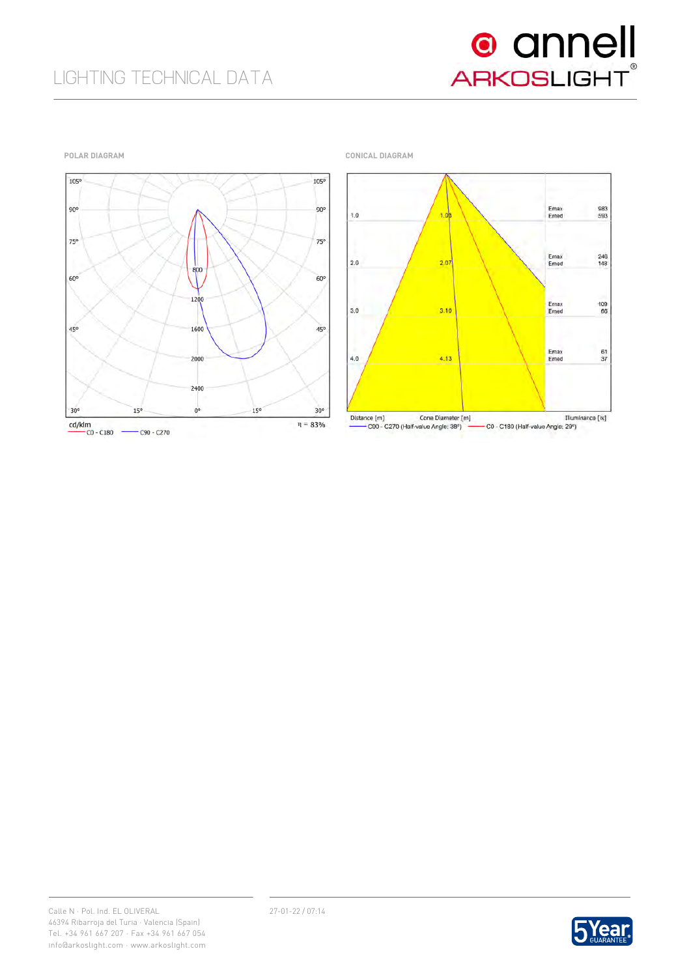

**POLAR DIAGRAM CONICAL DIAGRAM**





- C90 - C270 (Half-value Angle: 38°) C0 - C180 (Half-value Angle: 29°)